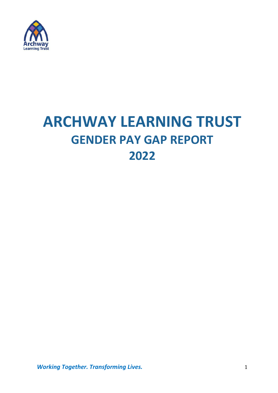

# **ARCHWAY LEARNING TRUST GENDER PAY GAP REPORT 2022**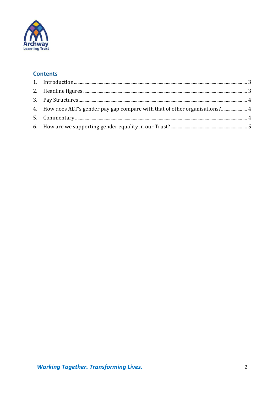

# **Contents**

| 4. How does ALT's gender pay gap compare with that of other organisations? 4 |  |
|------------------------------------------------------------------------------|--|
|                                                                              |  |
|                                                                              |  |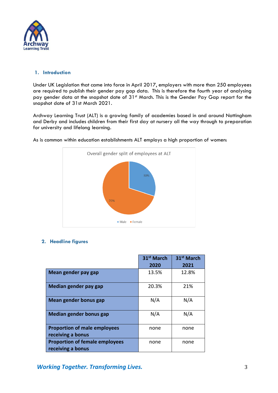

## <span id="page-2-0"></span>**1. Introduction**

Under UK Legislation that came into force in April 2017, employers with more than 250 employees are required to publish their gender pay gap data. This is therefore the fourth year of analysing pay gender data at the snapshot date of 31<sup>st</sup> March. This is the Gender Pay Gap report for the snapshot date of 31st March 2021.

Archway Learning Trust (ALT) is a growing family of academies based in and around Nottingham and Derby and includes children from their first day at nursery all the way through to preparation for university and lifelong learning.



As is common within education establishments ALT employs a high proportion of women:

#### <span id="page-2-1"></span>**2. Headline figures**

|                                                            | 31 <sup>st</sup> March<br>2020 | 31 <sup>st</sup> March<br>2021 |
|------------------------------------------------------------|--------------------------------|--------------------------------|
| Mean gender pay gap                                        | 13.5%                          | 12.8%                          |
| Median gender pay gap                                      | 20.3%                          | 21%                            |
| Mean gender bonus gap                                      | N/A                            | N/A                            |
| <b>Median gender bonus gap</b>                             | N/A                            | N/A                            |
| <b>Proportion of male employees</b><br>receiving a bonus   | none                           | none                           |
| <b>Proportion of female employees</b><br>receiving a bonus | none                           | none                           |

*Working Together. Transforming Lives.* 3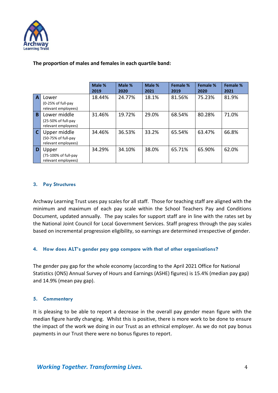

## **The proportion of males and females in each quartile band:**

|                |                                                            | Male % | Male % | Male % | <b>Female %</b> | Female % | Female % |  |
|----------------|------------------------------------------------------------|--------|--------|--------|-----------------|----------|----------|--|
|                |                                                            | 2019   | 2020   | 2021   | 2019            | 2020     | 2021     |  |
| $\overline{A}$ | Lower<br>(0-25% of full-pay<br>relevant employees)         | 18.44% | 24.77% | 18.1%  | 81.56%          | 75.23%   | 81.9%    |  |
| B              | Lower middle<br>(25-50% of full-pay<br>relevant employees) | 31.46% | 19.72% | 29.0%  | 68.54%          | 80.28%   | 71.0%    |  |
| $\overline{c}$ | Upper middle<br>(50-75% of full-pay<br>relevant employees) | 34.46% | 36.53% | 33.2%  | 65.54%          | 63.47%   | 66.8%    |  |
| D              | Upper<br>(75-100% of full-pay<br>relevant employees)       | 34.29% | 34.10% | 38.0%  | 65.71%          | 65.90%   | 62.0%    |  |

#### <span id="page-3-0"></span>**3. Pay Structures**

Archway Learning Trust uses pay scales for all staff. Those for teaching staff are aligned with the minimum and maximum of each pay scale within the School Teachers Pay and Conditions Document, updated annually. The pay scales for support staff are in line with the rates set by the National Joint Council for Local Government Services. Staff progress through the pay scales based on incremental progression eligibility, so earnings are determined irrespective of gender.

# <span id="page-3-1"></span>**4. How does ALT's gender pay gap compare with that of other organisations?**

The gender pay gap for the whole economy (according to the April 2021 Office for National Statistics (ONS) Annual Survey of Hours and Earnings (ASHE) figures) is 15.4% (median pay gap) and 14.9% (mean pay gap).

#### <span id="page-3-2"></span>**5. Commentary**

It is pleasing to be able to report a decrease in the overall pay gender mean figure with the median figure hardly changing. Whilst this is positive, there is more work to be done to ensure the impact of the work we doing in our Trust as an ethnical employer. As we do not pay bonus payments in our Trust there were no bonus figures to report.